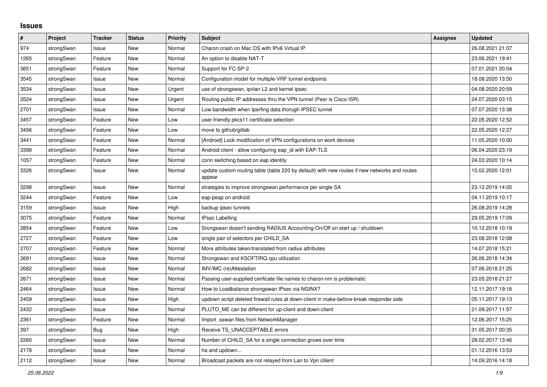## **Issues**

| #    | Project    | <b>Tracker</b> | <b>Status</b> | Priority | <b>Subject</b>                                                                                          | <b>Assignee</b> | <b>Updated</b>   |
|------|------------|----------------|---------------|----------|---------------------------------------------------------------------------------------------------------|-----------------|------------------|
| 974  | strongSwan | Issue          | <b>New</b>    | Normal   | Charon crash on Mac OS with IPv6 Virtual IP                                                             |                 | 26.08.2021 21:07 |
| 1265 | strongSwan | Feature        | <b>New</b>    | Normal   | An option to disable NAT-T                                                                              |                 | 23.06.2021 19:41 |
| 3651 | strongSwan | Feature        | New           | Normal   | Support for FC-SP-2                                                                                     |                 | 07.01.2021 20:04 |
| 3545 | strongSwan | Issue          | <b>New</b>    | Normal   | Configuration model for multiple-VRF tunnel endpoints                                                   |                 | 18.08.2020 13:50 |
| 3534 | strongSwan | Issue          | <b>New</b>    | Urgent   | use of strongswan, ipvlan L2 and kernel ipsec                                                           |                 | 04.08.2020 20:59 |
| 3524 | strongSwan | Issue          | <b>New</b>    | Urgent   | Routing public IP addresses thru the VPN tunnel (Peer is Cisco ISR)                                     |                 | 24.07.2020 03:15 |
| 2701 | strongSwan | Issue          | <b>New</b>    | Normal   | Low bandwidth when Iperfing data thorugh IPSEC tunnel                                                   |                 | 07.07.2020 13:38 |
| 3457 | strongSwan | Feature        | <b>New</b>    | Low      | user-friendly pkcs11 certificate selection                                                              |                 | 22.05.2020 12:52 |
| 3456 | strongSwan | Feature        | New           | Low      | move to github/gitlab                                                                                   |                 | 22.05.2020 12:27 |
| 3441 | strongSwan | Feature        | New           | Normal   | [Android] Lock modification of VPN configurations on work devices                                       |                 | 11.05.2020 10:00 |
| 3398 | strongSwan | Feature        | <b>New</b>    | Normal   | Android client - allow configuring eap_id with EAP-TLS                                                  |                 | 06.04.2020 23:19 |
| 1057 | strongSwan | Feature        | <b>New</b>    | Normal   | conn switching based on eap identity                                                                    |                 | 24.03.2020 10:14 |
| 3326 | strongSwan | Issue          | New           | Normal   | update custom routing table (table 220 by default) with new routes if new networks and routes<br>appear |                 | 10.02.2020 12:01 |
| 3298 | strongSwan | Issue          | <b>New</b>    | Normal   | strategies to improve strongswan performance per single SA                                              |                 | 23.12.2019 14:05 |
| 3244 | strongSwan | Feature        | New           | Low      | eap-peap on android                                                                                     |                 | 04.11.2019 10:17 |
| 3159 | strongSwan | Issue          | <b>New</b>    | High     | backup ipsec tunnels                                                                                    |                 | 26.08.2019 14:28 |
| 3075 | strongSwan | Feature        | <b>New</b>    | Normal   | <b>IPsec Labelling</b>                                                                                  |                 | 29.05.2019 17:09 |
| 2854 | strongSwan | Feature        | <b>New</b>    | Low      | Srongswan doesn't sending RADIUS Accounting-On/Off on start up / shutdown                               |                 | 10.12.2018 10:19 |
| 2727 | strongSwan | Feature        | New           | Low      | single pair of selectors per CHILD_SA                                                                   |                 | 23.08.2018 12:08 |
| 2707 | strongSwan | Feature        | New           | Normal   | More attributes taken/translated from radius attributes                                                 |                 | 14.07.2018 15:21 |
| 2691 | strongSwan | Issue          | <b>New</b>    | Normal   | Strongswan and KSOFTIRQ cpu utilization                                                                 |                 | 26.06.2018 14:34 |
| 2682 | strongSwan | Issue          | New           | Normal   | IMV/IMC (re)Attestation                                                                                 |                 | 07.06.2018 21:25 |
| 2671 | strongSwan | Issue          | <b>New</b>    | Normal   | Passing user-supplied cerificate file names to charon-nm is problematic                                 |                 | 23.05.2018 21:27 |
| 2464 | strongSwan | Issue          | New           | Normal   | How to Loadbalance strongswan IPsec via NGINX?                                                          |                 | 12.11.2017 19:16 |
| 2459 | strongSwan | Issue          | New           | High     | updown script deleted firewall rules at down-client in make-before-break responder side                 |                 | 05.11.2017 19:13 |
| 2432 | strongSwan | Issue          | New           | Normal   | PLUTO_ME can be different for up-client and down-client                                                 |                 | 21.09.2017 11:57 |
| 2361 | strongSwan | Feature        | <b>New</b>    | Normal   | Import .sswan files from NetworkManager                                                                 |                 | 12.06.2017 15:25 |
| 397  | strongSwan | Bug            | <b>New</b>    | High     | Receive TS UNACCEPTABLE errors                                                                          |                 | 31.05.2017 00:35 |
| 2260 | strongSwan | Issue          | New           | Normal   | Number of CHILD_SA for a single connection grows over time                                              |                 | 28.02.2017 13:46 |
| 2178 | strongSwan | Issue          | New           | Normal   | ha and updown                                                                                           |                 | 01.12.2016 13:53 |
| 2112 | strongSwan | Issue          | <b>New</b>    | Normal   | Broadcast packets are not relayed from Lan to Vpn clilent                                               |                 | 14.09.2016 14:18 |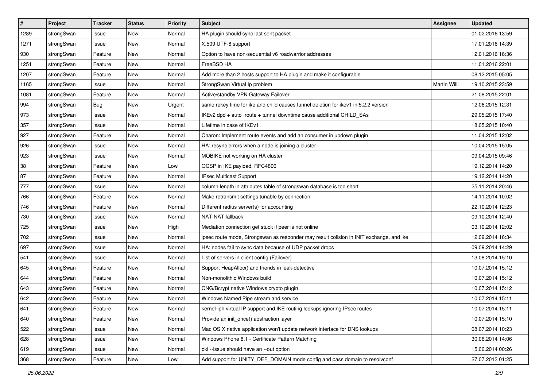| #    | Project    | <b>Tracker</b> | <b>Status</b> | <b>Priority</b> | Subject                                                                                 | <b>Assignee</b> | <b>Updated</b>   |
|------|------------|----------------|---------------|-----------------|-----------------------------------------------------------------------------------------|-----------------|------------------|
| 1289 | strongSwan | Issue          | New           | Normal          | HA plugin should sync last sent packet                                                  |                 | 01.02.2016 13:59 |
| 1271 | strongSwan | Issue          | <b>New</b>    | Normal          | X.509 UTF-8 support                                                                     |                 | 17.01.2016 14:39 |
| 930  | strongSwan | Feature        | New           | Normal          | Option to have non-sequential v6 roadwarrior addresses                                  |                 | 12.01.2016 16:36 |
| 1251 | strongSwan | Feature        | New           | Normal          | FreeBSD HA                                                                              |                 | 11.01.2016 22:01 |
| 1207 | strongSwan | Feature        | New           | Normal          | Add more than 2 hosts support to HA plugin and make it configurable                     |                 | 08.12.2015 05:05 |
| 1165 | strongSwan | Issue          | New           | Normal          | StrongSwan Virtual Ip problem                                                           | Martin Willi    | 19.10.2015 23:59 |
| 1081 | strongSwan | Feature        | New           | Normal          | Active/standby VPN Gateway Failover                                                     |                 | 21.08.2015 22:01 |
| 994  | strongSwan | Bug            | New           | Urgent          | same rekey time for ike and child causes tunnel deletion for ikev1 in 5.2.2 version     |                 | 12.06.2015 12:31 |
| 973  | strongSwan | Issue          | New           | Normal          | IKEv2 dpd + auto=route + tunnel downtime cause additional CHILD_SAs                     |                 | 29.05.2015 17:40 |
| 357  | strongSwan | Issue          | New           | Normal          | Lifetime in case of IKEv1                                                               |                 | 18.05.2015 10:40 |
| 927  | strongSwan | Feature        | New           | Normal          | Charon: Implement route events and add an consumer in updown plugin                     |                 | 11.04.2015 12:02 |
| 926  | strongSwan | Issue          | New           | Normal          | HA: resync errors when a node is joining a cluster                                      |                 | 10.04.2015 15:05 |
| 923  | strongSwan | Issue          | New           | Normal          | MOBIKE not working on HA cluster                                                        |                 | 09.04.2015 09:46 |
| 38   | strongSwan | Feature        | New           | Low             | OCSP in IKE payload, RFC4806                                                            |                 | 19.12.2014 14:20 |
| 87   | strongSwan | Feature        | New           | Normal          | IPsec Multicast Support                                                                 |                 | 19.12.2014 14:20 |
| 777  | strongSwan | Issue          | New           | Normal          | column length in attributes table of strongswan database is too short                   |                 | 25.11.2014 20:46 |
| 766  | strongSwan | Feature        | New           | Normal          | Make retransmit settings tunable by connection                                          |                 | 14.11.2014 10:02 |
| 746  | strongSwan | Feature        | New           | Normal          | Different radius server(s) for accounting                                               |                 | 22.10.2014 12:23 |
| 730  | strongSwan | Issue          | <b>New</b>    | Normal          | NAT-NAT fallback                                                                        |                 | 09.10.2014 12:40 |
| 725  | strongSwan | Issue          | New           | High            | Mediation connection get stuck if peer is not online                                    |                 | 03.10.2014 12:02 |
| 702  | strongSwan | Issue          | New           | Normal          | ipsec route mode, Strongswan as responder may result collsion in INIT exchange. and ike |                 | 12.09.2014 16:34 |
| 697  | strongSwan | Issue          | New           | Normal          | HA: nodes fail to sync data because of UDP packet drops                                 |                 | 09.09.2014 14:29 |
| 541  | strongSwan | Issue          | <b>New</b>    | Normal          | List of servers in client config (Failover)                                             |                 | 13.08.2014 15:10 |
| 645  | strongSwan | Feature        | New           | Normal          | Support HeapAlloc() and friends in leak-detective                                       |                 | 10.07.2014 15:12 |
| 644  | strongSwan | Feature        | New           | Normal          | Non-monolithic Windows build                                                            |                 | 10.07.2014 15:12 |
| 643  | strongSwan | Feature        | New           | Normal          | CNG/Bcrypt native Windows crypto plugin                                                 |                 | 10.07.2014 15:12 |
| 642  | strongSwan | Feature        | <b>New</b>    | Normal          | Windows Named Pipe stream and service                                                   |                 | 10.07.2014 15:11 |
| 641  | strongSwan | Feature        | New           | Normal          | kernel-iph virtual IP support and IKE routing lookups ignoring IPsec routes             |                 | 10.07.2014 15:11 |
| 640  | strongSwan | Feature        | New           | Normal          | Provide an init once() abstraction layer                                                |                 | 10.07.2014 15:10 |
| 522  | strongSwan | Issue          | New           | Normal          | Mac OS X native application won't update network interface for DNS lookups              |                 | 08.07.2014 10:23 |
| 628  | strongSwan | Issue          | New           | Normal          | Windows Phone 8.1 - Certificate Pattern Matching                                        |                 | 30.06.2014 14:06 |
| 619  | strongSwan | Issue          | New           | Normal          | pki --issue should have an --out option                                                 |                 | 15.06.2014 00:26 |
| 368  | strongSwan | Feature        | New           | Low             | Add support for UNITY_DEF_DOMAIN mode config and pass domain to resolvconf              |                 | 27.07.2013 01:25 |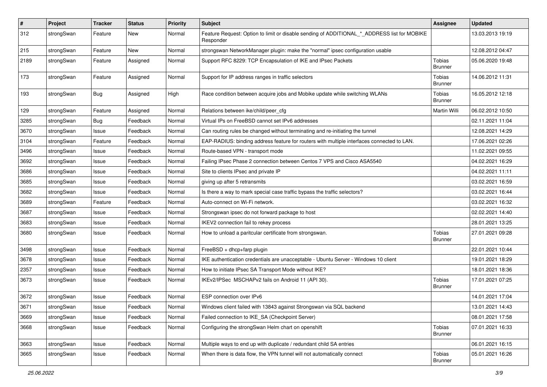| $\pmb{\#}$ | Project    | <b>Tracker</b> | <b>Status</b> | <b>Priority</b> | Subject                                                                                                  | <b>Assignee</b>                 | <b>Updated</b>   |
|------------|------------|----------------|---------------|-----------------|----------------------------------------------------------------------------------------------------------|---------------------------------|------------------|
| 312        | strongSwan | Feature        | New           | Normal          | Feature Request: Option to limit or disable sending of ADDITIONAL_*_ADDRESS list for MOBIKE<br>Responder |                                 | 13.03.2013 19:19 |
| 215        | strongSwan | Feature        | New           | Normal          | strongswan NetworkManager plugin: make the "normal" ipsec configuration usable                           |                                 | 12.08.2012 04:47 |
| 2189       | strongSwan | Feature        | Assigned      | Normal          | Support RFC 8229: TCP Encapsulation of IKE and IPsec Packets                                             | Tobias<br><b>Brunner</b>        | 05.06.2020 19:48 |
| 173        | strongSwan | Feature        | Assigned      | Normal          | Support for IP address ranges in traffic selectors                                                       | Tobias<br><b>Brunner</b>        | 14.06.2012 11:31 |
| 193        | strongSwan | Bug            | Assigned      | High            | Race condition between acquire jobs and Mobike update while switching WLANs                              | <b>Tobias</b><br><b>Brunner</b> | 16.05.2012 12:18 |
| 129        | strongSwan | Feature        | Assigned      | Normal          | Relations between ike/child/peer_cfg                                                                     | Martin Willi                    | 06.02.2012 10:50 |
| 3285       | strongSwan | Bug            | Feedback      | Normal          | Virtual IPs on FreeBSD cannot set IPv6 addresses                                                         |                                 | 02.11.2021 11:04 |
| 3670       | strongSwan | Issue          | Feedback      | Normal          | Can routing rules be changed without terminating and re-initiating the tunnel                            |                                 | 12.08.2021 14:29 |
| 3104       | strongSwan | Feature        | Feedback      | Normal          | EAP-RADIUS: binding address feature for routers with multiple interfaces connected to LAN.               |                                 | 17.06.2021 02:26 |
| 3496       | strongSwan | Issue          | Feedback      | Normal          | Route-based VPN - transport mode                                                                         |                                 | 11.02.2021 09:55 |
| 3692       | strongSwan | Issue          | Feedback      | Normal          | Failing IPsec Phase 2 connection between Centos 7 VPS and Cisco ASA5540                                  |                                 | 04.02.2021 16:29 |
| 3686       | strongSwan | Issue          | Feedback      | Normal          | Site to clients IPsec and private IP                                                                     |                                 | 04.02.2021 11:11 |
| 3685       | strongSwan | Issue          | Feedback      | Normal          | giving up after 5 retransmits                                                                            |                                 | 03.02.2021 16:59 |
| 3682       | strongSwan | Issue          | Feedback      | Normal          | Is there a way to mark special case traffic bypass the traffic selectors?                                |                                 | 03.02.2021 16:44 |
| 3689       | strongSwan | Feature        | Feedback      | Normal          | Auto-connect on Wi-Fi network.                                                                           |                                 | 03.02.2021 16:32 |
| 3687       | strongSwan | Issue          | Feedback      | Normal          | Strongswan ipsec do not forward package to host                                                          |                                 | 02.02.2021 14:40 |
| 3683       | strongSwan | Issue          | Feedback      | Normal          | IKEV2 connection fail to rekey process                                                                   |                                 | 28.01.2021 13:25 |
| 3680       | strongSwan | Issue          | Feedback      | Normal          | How to unload a paritcular certificate from strongswan.                                                  | <b>Tobias</b><br><b>Brunner</b> | 27.01.2021 09:28 |
| 3498       | strongSwan | Issue          | Feedback      | Normal          | FreeBSD + dhcp+farp plugin                                                                               |                                 | 22.01.2021 10:44 |
| 3678       | strongSwan | Issue          | Feedback      | Normal          | IKE authentication credentials are unacceptable - Ubuntu Server - Windows 10 client                      |                                 | 19.01.2021 18:29 |
| 2357       | strongSwan | Issue          | Feedback      | Normal          | How to initiate IPsec SA Transport Mode without IKE?                                                     |                                 | 18.01.2021 18:36 |
| 3673       | strongSwan | Issue          | Feedback      | Normal          | IKEv2/IPSec MSCHAPv2 fails on Android 11 (API 30).                                                       | Tobias<br><b>Brunner</b>        | 17.01.2021 07:25 |
| 3672       | strongSwan | lssue          | Feedback      | Normal          | ESP connection over IPv6                                                                                 |                                 | 14.01.2021 17:04 |
| 3671       | strongSwan | Issue          | Feedback      | Normal          | Windows client failed with 13843 against Strongswan via SQL backend                                      |                                 | 13.01.2021 14:43 |
| 3669       | strongSwan | Issue          | Feedback      | Normal          | Failed connection to IKE_SA (Checkpoint Server)                                                          |                                 | 08.01.2021 17:58 |
| 3668       | strongSwan | Issue          | Feedback      | Normal          | Configuring the strongSwan Helm chart on openshift                                                       | Tobias<br><b>Brunner</b>        | 07.01.2021 16:33 |
| 3663       | strongSwan | Issue          | Feedback      | Normal          | Multiple ways to end up with duplicate / redundant child SA entries                                      |                                 | 06.01.2021 16:15 |
| 3665       | strongSwan | Issue          | Feedback      | Normal          | When there is data flow, the VPN tunnel will not automatically connect                                   | Tobias<br><b>Brunner</b>        | 05.01.2021 16:26 |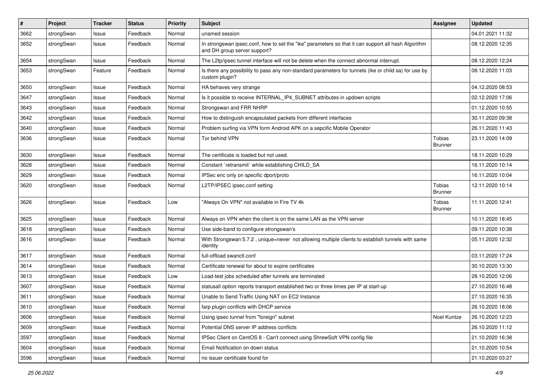| $\pmb{\#}$ | Project    | <b>Tracker</b> | <b>Status</b> | <b>Priority</b> | <b>Subject</b>                                                                                                                      | Assignee                        | <b>Updated</b>   |
|------------|------------|----------------|---------------|-----------------|-------------------------------------------------------------------------------------------------------------------------------------|---------------------------------|------------------|
| 3662       | strongSwan | Issue          | Feedback      | Normal          | unamed session                                                                                                                      |                                 | 04.01.2021 11:32 |
| 3652       | strongSwan | Issue          | Feedback      | Normal          | In strongswan ipsec.conf, how to set the "ike" parameters so that it can support all hash Algorithm<br>and DH group server support? |                                 | 08.12.2020 12:35 |
| 3654       | strongSwan | Issue          | Feedback      | Normal          | The L2tp/ipsec tunnel interface will not be delete when the connect abnormal interrupt.                                             |                                 | 08.12.2020 12:24 |
| 3653       | strongSwan | Feature        | Feedback      | Normal          | Is there any possibility to pass any non-standard parameters for tunnels (ike or child sa) for use by<br>custom plugin?             |                                 | 08.12.2020 11:03 |
| 3650       | strongSwan | Issue          | Feedback      | Normal          | HA behaves very strange                                                                                                             |                                 | 04.12.2020 08:53 |
| 3647       | strongSwan | Issue          | Feedback      | Normal          | Is it possible to receive INTERNAL_IP4_SUBNET attributes in updown scripts                                                          |                                 | 02.12.2020 17:06 |
| 3643       | strongSwan | Issue          | Feedback      | Normal          | Strongswan and FRR NHRP                                                                                                             |                                 | 01.12.2020 10:55 |
| 3642       | strongSwan | Issue          | Feedback      | Normal          | How to distinguish encapsulated packets from different interfaces                                                                   |                                 | 30.11.2020 09:38 |
| 3640       | strongSwan | Issue          | Feedback      | Normal          | Problem surfing via VPN form Android APK on a sepcific Mobile Operator                                                              |                                 | 26.11.2020 11:43 |
| 3636       | strongSwan | Issue          | Feedback      | Normal          | Tor behind VPN                                                                                                                      | Tobias<br><b>Brunner</b>        | 23.11.2020 14:09 |
| 3630       | strongSwan | Issue          | Feedback      | Normal          | The certificate is loaded but not used.                                                                                             |                                 | 18.11.2020 10:29 |
| 3628       | strongSwan | Issue          | Feedback      | Normal          | Constant `retransmit` while establishing CHILD_SA                                                                                   |                                 | 16.11.2020 10:14 |
| 3629       | strongSwan | Issue          | Feedback      | Normal          | IPSec enc only on specific dport/proto                                                                                              |                                 | 16.11.2020 10:04 |
| 3620       | strongSwan | Issue          | Feedback      | Normal          | L2TP/IPSEC ipsec.conf setting                                                                                                       | <b>Tobias</b><br><b>Brunner</b> | 12.11.2020 10:14 |
| 3626       | strongSwan | Issue          | Feedback      | Low             | "Always On VPN" not available in Fire TV 4k                                                                                         | Tobias<br><b>Brunner</b>        | 11.11.2020 12:41 |
| 3625       | strongSwan | Issue          | Feedback      | Normal          | Always on VPN when the client is on the same LAN as the VPN server                                                                  |                                 | 10.11.2020 18:45 |
| 3618       | strongSwan | Issue          | Feedback      | Normal          | Use side-band to configure strongswan's                                                                                             |                                 | 09.11.2020 10:38 |
| 3616       | strongSwan | Issue          | Feedback      | Normal          | With Strongswan 5.7.2, unique=never not allowing multiple clients to establish tunnels with same<br>identity                        |                                 | 05.11.2020 12:32 |
| 3617       | strongSwan | Issue          | Feedback      | Normal          | full-offload swanctl.conf                                                                                                           |                                 | 03.11.2020 17:24 |
| 3614       | strongSwan | Issue          | Feedback      | Normal          | Certificate renewal for about to expire certificates                                                                                |                                 | 30.10.2020 13:30 |
| 3613       | strongSwan | Issue          | Feedback      | Low             | Load-test jobs scheduled after tunnels are terminated                                                                               |                                 | 28.10.2020 12:06 |
| 3607       | strongSwan | Issue          | Feedback      | Normal          | statusall option reports transport established two or three times per IP at start-up                                                |                                 | 27.10.2020 16:48 |
| 3611       | strongSwan | lssue          | Feedback      | Normal          | Unable to Send Traffic Using NAT on EC2 Instance                                                                                    |                                 | 27.10.2020 16:35 |
| 3610       | strongSwan | Issue          | Feedback      | Normal          | farp plugin conflicts with DHCP service                                                                                             |                                 | 26.10.2020 18:06 |
| 3606       | strongSwan | Issue          | Feedback      | Normal          | Using ipsec tunnel from "foreign" subnet                                                                                            | Noel Kuntze                     | 26.10.2020 12:23 |
| 3609       | strongSwan | Issue          | Feedback      | Normal          | Potential DNS server IP address conflicts                                                                                           |                                 | 26.10.2020 11:12 |
| 3597       | strongSwan | Issue          | Feedback      | Normal          | IPSec Client on CentOS 8 - Can't connect using ShrewSoft VPN config file                                                            |                                 | 21.10.2020 16:38 |
| 3604       | strongSwan | Issue          | Feedback      | Normal          | Email Notification on down status                                                                                                   |                                 | 21.10.2020 10:54 |
| 3596       | strongSwan | Issue          | Feedback      | Normal          | no issuer certificate found for                                                                                                     |                                 | 21.10.2020 03:27 |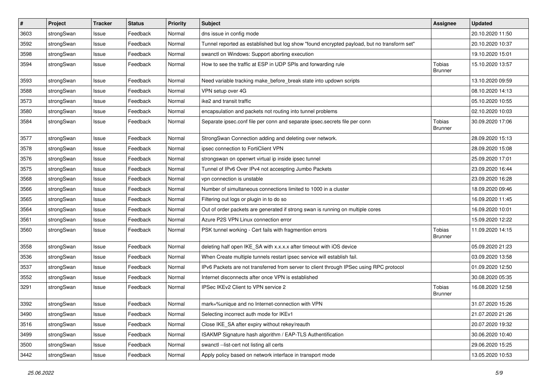| $\vert$ # | Project    | <b>Tracker</b> | <b>Status</b> | <b>Priority</b> | Subject                                                                                     | <b>Assignee</b>                 | <b>Updated</b>   |
|-----------|------------|----------------|---------------|-----------------|---------------------------------------------------------------------------------------------|---------------------------------|------------------|
| 3603      | strongSwan | Issue          | Feedback      | Normal          | dns issue in config mode                                                                    |                                 | 20.10.2020 11:50 |
| 3592      | strongSwan | Issue          | Feedback      | Normal          | Tunnel reported as established but log show "found encrypted payload, but no transform set" |                                 | 20.10.2020 10:37 |
| 3598      | strongSwan | Issue          | Feedback      | Normal          | swanctl on Windows: Support aborting execution                                              |                                 | 19.10.2020 15:01 |
| 3594      | strongSwan | Issue          | Feedback      | Normal          | How to see the traffic at ESP in UDP SPIs and forwarding rule                               | Tobias<br><b>Brunner</b>        | 15.10.2020 13:57 |
| 3593      | strongSwan | Issue          | Feedback      | Normal          | Need variable tracking make_before_break state into updown scripts                          |                                 | 13.10.2020 09:59 |
| 3588      | strongSwan | Issue          | Feedback      | Normal          | VPN setup over 4G                                                                           |                                 | 08.10.2020 14:13 |
| 3573      | strongSwan | Issue          | Feedback      | Normal          | ike2 and transit traffic                                                                    |                                 | 05.10.2020 10:55 |
| 3580      | strongSwan | Issue          | Feedback      | Normal          | encapsulation and packets not routing into tunnel problems                                  |                                 | 02.10.2020 10:03 |
| 3584      | strongSwan | Issue          | Feedback      | Normal          | Separate ipsec.conf file per conn and separate ipsec.secrets file per conn                  | <b>Tobias</b><br><b>Brunner</b> | 30.09.2020 17:06 |
| 3577      | strongSwan | Issue          | Feedback      | Normal          | StrongSwan Connection adding and deleting over network.                                     |                                 | 28.09.2020 15:13 |
| 3578      | strongSwan | Issue          | Feedback      | Normal          | ipsec connection to FortiClient VPN                                                         |                                 | 28.09.2020 15:08 |
| 3576      | strongSwan | Issue          | Feedback      | Normal          | strongswan on openwrt virtual ip inside ipsec tunnel                                        |                                 | 25.09.2020 17:01 |
| 3575      | strongSwan | Issue          | Feedback      | Normal          | Tunnel of IPv6 Over IPv4 not accespting Jumbo Packets                                       |                                 | 23.09.2020 16:44 |
| 3568      | strongSwan | Issue          | Feedback      | Normal          | vpn connection is unstable                                                                  |                                 | 23.09.2020 16:28 |
| 3566      | strongSwan | Issue          | Feedback      | Normal          | Number of simultaneous connections limited to 1000 in a cluster                             |                                 | 18.09.2020 09:46 |
| 3565      | strongSwan | Issue          | Feedback      | Normal          | Filtering out logs or plugin in to do so                                                    |                                 | 16.09.2020 11:45 |
| 3564      | strongSwan | Issue          | Feedback      | Normal          | Out of order packets are generated if strong swan is running on multiple cores              |                                 | 16.09.2020 10:01 |
| 3561      | strongSwan | Issue          | Feedback      | Normal          | Azure P2S VPN Linux connection error                                                        |                                 | 15.09.2020 12:22 |
| 3560      | strongSwan | Issue          | Feedback      | Normal          | PSK tunnel working - Cert fails with fragmention errors                                     | <b>Tobias</b><br><b>Brunner</b> | 11.09.2020 14:15 |
| 3558      | strongSwan | Issue          | Feedback      | Normal          | deleting half open IKE_SA with x.x.x.x after timeout with iOS device                        |                                 | 05.09.2020 21:23 |
| 3536      | strongSwan | Issue          | Feedback      | Normal          | When Create multiple tunnels restart ipsec service will establish fail.                     |                                 | 03.09.2020 13:58 |
| 3537      | strongSwan | Issue          | Feedback      | Normal          | IPv6 Packets are not transferred from server to client through IPSec using RPC protocol     |                                 | 01.09.2020 12:50 |
| 3552      | strongSwan | Issue          | Feedback      | Normal          | Internet disconnects after once VPN is established                                          |                                 | 30.08.2020 05:35 |
| 3291      | strongSwan | Issue          | Feedback      | Normal          | IPSec IKEv2 Client to VPN service 2                                                         | Tobias<br><b>Brunner</b>        | 16.08.2020 12:58 |
| 3392      | strongSwan | Issue          | Feedback      | Normal          | mark=%unique and no Internet-connection with VPN                                            |                                 | 31.07.2020 15:26 |
| 3490      | strongSwan | Issue          | Feedback      | Normal          | Selecting incorrect auth mode for IKEv1                                                     |                                 | 21.07.2020 21:26 |
| 3516      | strongSwan | Issue          | Feedback      | Normal          | Close IKE_SA after expiry without rekey/reauth                                              |                                 | 20.07.2020 19:32 |
| 3499      | strongSwan | Issue          | Feedback      | Normal          | ISAKMP Signature hash algorithm / EAP-TLS Authentification                                  |                                 | 30.06.2020 10:40 |
| 3500      | strongSwan | Issue          | Feedback      | Normal          | swanctl --list-cert not listing all certs                                                   |                                 | 29.06.2020 15:25 |
| 3442      | strongSwan | Issue          | Feedback      | Normal          | Apply policy based on network interface in transport mode                                   |                                 | 13.05.2020 10:53 |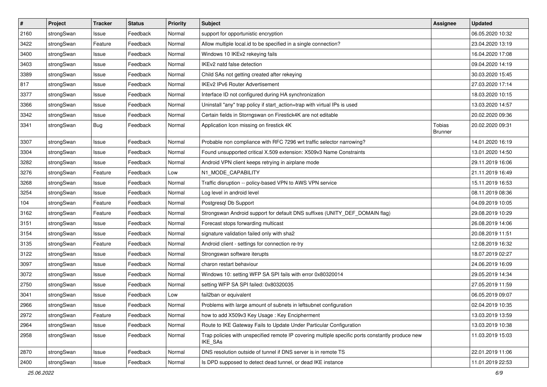| $\vert$ # | Project    | <b>Tracker</b> | <b>Status</b> | <b>Priority</b> | Subject                                                                                                     | <b>Assignee</b>                 | <b>Updated</b>   |
|-----------|------------|----------------|---------------|-----------------|-------------------------------------------------------------------------------------------------------------|---------------------------------|------------------|
| 2160      | strongSwan | Issue          | Feedback      | Normal          | support for opportunistic encryption                                                                        |                                 | 06.05.2020 10:32 |
| 3422      | strongSwan | Feature        | Feedback      | Normal          | Allow multiple local.id to be specified in a single connection?                                             |                                 | 23.04.2020 13:19 |
| 3400      | strongSwan | Issue          | Feedback      | Normal          | Windows 10 IKEv2 rekeying fails                                                                             |                                 | 16.04.2020 17:08 |
| 3403      | strongSwan | Issue          | Feedback      | Normal          | IKEv2 natd false detection                                                                                  |                                 | 09.04.2020 14:19 |
| 3389      | strongSwan | Issue          | Feedback      | Normal          | Child SAs not getting created after rekeying                                                                |                                 | 30.03.2020 15:45 |
| 817       | strongSwan | Issue          | Feedback      | Normal          | <b>IKEv2 IPv6 Router Advertisement</b>                                                                      |                                 | 27.03.2020 17:14 |
| 3377      | strongSwan | Issue          | Feedback      | Normal          | Interface ID not configured during HA synchronization                                                       |                                 | 18.03.2020 10:15 |
| 3366      | strongSwan | Issue          | Feedback      | Normal          | Uninstall "any" trap policy if start_action=trap with virtual IPs is used                                   |                                 | 13.03.2020 14:57 |
| 3342      | strongSwan | Issue          | Feedback      | Normal          | Certain fields in Storngswan on Firestick4K are not editable                                                |                                 | 20.02.2020 09:36 |
| 3341      | strongSwan | <b>Bug</b>     | Feedback      | Normal          | Application Icon missing on firestick 4K                                                                    | <b>Tobias</b><br><b>Brunner</b> | 20.02.2020 09:31 |
| 3307      | strongSwan | Issue          | Feedback      | Normal          | Probable non compliance with RFC 7296 wrt traffic selector narrowing?                                       |                                 | 14.01.2020 16:19 |
| 3304      | strongSwan | Issue          | Feedback      | Normal          | Found unsupported critical X.509 extension: X509v3 Name Constraints                                         |                                 | 13.01.2020 14:50 |
| 3282      | strongSwan | Issue          | Feedback      | Normal          | Android VPN client keeps retrying in airplane mode                                                          |                                 | 29.11.2019 16:06 |
| 3276      | strongSwan | Feature        | Feedback      | Low             | N1_MODE_CAPABILITY                                                                                          |                                 | 21.11.2019 16:49 |
| 3268      | strongSwan | Issue          | Feedback      | Normal          | Traffic disruption -- policy-based VPN to AWS VPN service                                                   |                                 | 15.11.2019 16:53 |
| 3254      | strongSwan | Issue          | Feedback      | Normal          | Log level in android level                                                                                  |                                 | 08.11.2019 08:36 |
| 104       | strongSwan | Feature        | Feedback      | Normal          | Postgresql Db Support                                                                                       |                                 | 04.09.2019 10:05 |
| 3162      | strongSwan | Feature        | Feedback      | Normal          | Strongswan Android support for default DNS suffixes (UNITY_DEF_DOMAIN flag)                                 |                                 | 29.08.2019 10:29 |
| 3151      | strongSwan | Issue          | Feedback      | Normal          | Forecast stops forwarding multicast                                                                         |                                 | 26.08.2019 14:06 |
| 3154      | strongSwan | Issue          | Feedback      | Normal          | signature validation failed only with sha2                                                                  |                                 | 20.08.2019 11:51 |
| 3135      | strongSwan | Feature        | Feedback      | Normal          | Android client - settings for connection re-try                                                             |                                 | 12.08.2019 16:32 |
| 3122      | strongSwan | Issue          | Feedback      | Normal          | Strongswan software iterupts                                                                                |                                 | 18.07.2019 02:27 |
| 3097      | strongSwan | Issue          | Feedback      | Normal          | charon restart behaviour                                                                                    |                                 | 24.06.2019 16:09 |
| 3072      | strongSwan | Issue          | Feedback      | Normal          | Windows 10: setting WFP SA SPI fails with error 0x80320014                                                  |                                 | 29.05.2019 14:34 |
| 2750      | strongSwan | Issue          | Feedback      | Normal          | setting WFP SA SPI failed: 0x80320035                                                                       |                                 | 27.05.2019 11:59 |
| 3041      | strongSwan | Issue          | Feedback      | Low             | fail2ban or equivalent                                                                                      |                                 | 06.05.2019 09:07 |
| 2966      | strongSwan | Issue          | Feedback      | Normal          | Problems with large amount of subnets in leftsubnet configuration                                           |                                 | 02.04.2019 10:35 |
| 2972      | strongSwan | Feature        | Feedback      | Normal          | how to add X509v3 Key Usage: Key Encipherment                                                               |                                 | 13.03.2019 13:59 |
| 2964      | strongSwan | Issue          | Feedback      | Normal          | Route to IKE Gateway Fails to Update Under Particular Configuration                                         |                                 | 13.03.2019 10:38 |
| 2958      | strongSwan | Issue          | Feedback      | Normal          | Trap policies with unspecified remote IP covering multiple specific ports constantly produce new<br>IKE_SAs |                                 | 11.03.2019 15:03 |
| 2870      | strongSwan | Issue          | Feedback      | Normal          | DNS resolution outside of tunnel if DNS server is in remote TS                                              |                                 | 22.01.2019 11:06 |
| 2400      | strongSwan | Issue          | Feedback      | Normal          | Is DPD supposed to detect dead tunnel, or dead IKE instance                                                 |                                 | 11.01.2019 22:53 |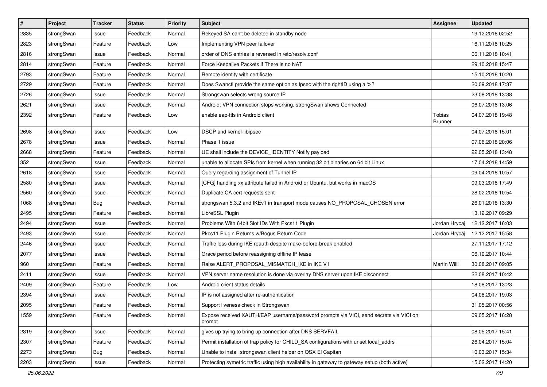| #    | Project    | <b>Tracker</b> | <b>Status</b> | <b>Priority</b> | <b>Subject</b>                                                                                   | Assignee                 | <b>Updated</b>   |
|------|------------|----------------|---------------|-----------------|--------------------------------------------------------------------------------------------------|--------------------------|------------------|
| 2835 | strongSwan | Issue          | Feedback      | Normal          | Rekeyed SA can't be deleted in standby node                                                      |                          | 19.12.2018 02:52 |
| 2823 | strongSwan | Feature        | Feedback      | Low             | Implementing VPN peer failover                                                                   |                          | 16.11.2018 10:25 |
| 2816 | strongSwan | Issue          | Feedback      | Normal          | order of DNS entries is reversed in /etc/resolv.conf                                             |                          | 06.11.2018 10:41 |
| 2814 | strongSwan | Feature        | Feedback      | Normal          | Force Keepalive Packets if There is no NAT                                                       |                          | 29.10.2018 15:47 |
| 2793 | strongSwan | Feature        | Feedback      | Normal          | Remote identity with certificate                                                                 |                          | 15.10.2018 10:20 |
| 2729 | strongSwan | Feature        | Feedback      | Normal          | Does Swanctl provide the same option as Ipsec with the rightID using a %?                        |                          | 20.09.2018 17:37 |
| 2726 | strongSwan | Issue          | Feedback      | Normal          | Strongswan selects wrong source IP                                                               |                          | 23.08.2018 13:38 |
| 2621 | strongSwan | Issue          | Feedback      | Normal          | Android: VPN connection stops working, strongSwan shows Connected                                |                          | 06.07.2018 13:06 |
| 2392 | strongSwan | Feature        | Feedback      | Low             | enable eap-ttls in Android client                                                                | Tobias<br><b>Brunner</b> | 04.07.2018 19:48 |
| 2698 | strongSwan | Issue          | Feedback      | Low             | DSCP and kernel-libipsec                                                                         |                          | 04.07.2018 15:01 |
| 2678 | strongSwan | Issue          | Feedback      | Normal          | Phase 1 issue                                                                                    |                          | 07.06.2018 20:06 |
| 2668 | strongSwan | Feature        | Feedback      | Normal          | UE shall include the DEVICE_IDENTITY Notify payload                                              |                          | 22.05.2018 13:48 |
| 352  | strongSwan | Issue          | Feedback      | Normal          | unable to allocate SPIs from kernel when running 32 bit binaries on 64 bit Linux                 |                          | 17.04.2018 14:59 |
| 2618 | strongSwan | Issue          | Feedback      | Normal          | Query regarding assignment of Tunnel IP                                                          |                          | 09.04.2018 10:57 |
| 2580 | strongSwan | Issue          | Feedback      | Normal          | [CFG] handling xx attribute failed in Android or Ubuntu, but works in macOS                      |                          | 09.03.2018 17:49 |
| 2560 | strongSwan | Issue          | Feedback      | Normal          | Duplicate CA cert requests sent                                                                  |                          | 28.02.2018 10:54 |
| 1068 | strongSwan | <b>Bug</b>     | Feedback      | Normal          | strongswan 5.3.2 and IKEv1 in transport mode causes NO_PROPOSAL_CHOSEN error                     |                          | 26.01.2018 13:30 |
| 2495 | strongSwan | Feature        | Feedback      | Normal          | LibreSSL Plugin                                                                                  |                          | 13.12.2017 09:29 |
| 2494 | strongSwan | Issue          | Feedback      | Normal          | Problems With 64bit Slot IDs With Pkcs11 Plugin                                                  | Jordan Hrycaj            | 12.12.2017 16:03 |
| 2493 | strongSwan | Issue          | Feedback      | Normal          | Pkcs11 Plugin Returns w/Bogus Return Code                                                        | Jordan Hrycaj            | 12.12.2017 15:58 |
| 2446 | strongSwan | Issue          | Feedback      | Normal          | Traffic loss during IKE reauth despite make-before-break enabled                                 |                          | 27.11.2017 17:12 |
| 2077 | strongSwan | Issue          | Feedback      | Normal          | Grace period before reassigning offline IP lease                                                 |                          | 06.10.2017 10:44 |
| 960  | strongSwan | Feature        | Feedback      | Normal          | Raise ALERT_PROPOSAL_MISMATCH_IKE in IKE V1                                                      | Martin Willi             | 30.08.2017 09:05 |
| 2411 | strongSwan | Issue          | Feedback      | Normal          | VPN server name resolution is done via overlay DNS server upon IKE disconnect                    |                          | 22.08.2017 10:42 |
| 2409 | strongSwan | Feature        | Feedback      | Low             | Android client status details                                                                    |                          | 18.08.2017 13:23 |
| 2394 | strongSwan | Issue          | Feedback      | Normal          | IP is not assigned after re-authentication                                                       |                          | 04.08.2017 19:03 |
| 2095 | strongSwan | Feature        | Feedback      | Normal          | Support liveness check in Strongswan                                                             |                          | 31.05.2017 00:56 |
| 1559 | strongSwan | Feature        | Feedback      | Normal          | Expose received XAUTH/EAP username/password prompts via VICI, send secrets via VICI on<br>prompt |                          | 09.05.2017 16:28 |
| 2319 | strongSwan | Issue          | Feedback      | Normal          | gives up trying to bring up connection after DNS SERVFAIL                                        |                          | 08.05.2017 15:41 |
| 2307 | strongSwan | Feature        | Feedback      | Normal          | Permit installation of trap policy for CHILD_SA configurations with unset local_addrs            |                          | 26.04.2017 15:04 |
| 2273 | strongSwan | <b>Bug</b>     | Feedback      | Normal          | Unable to install strongswan client helper on OSX El Capitan                                     |                          | 10.03.2017 15:34 |
| 2203 | strongSwan | Issue          | Feedback      | Normal          | Protecting symetric traffic using high availability in gateway to gateway setup (both active)    |                          | 15.02.2017 14:20 |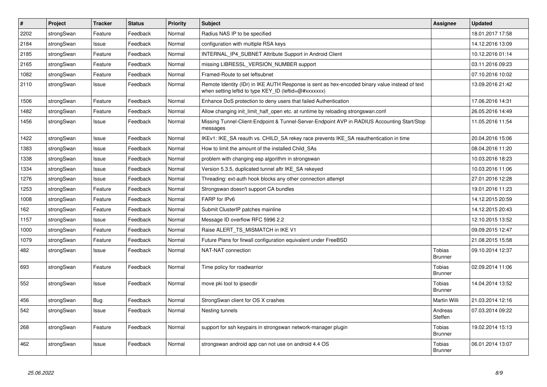| $\vert$ # | <b>Project</b> | <b>Tracker</b> | <b>Status</b> | <b>Priority</b> | <b>Subject</b>                                                                                                                                          | <b>Assignee</b>                 | <b>Updated</b>   |
|-----------|----------------|----------------|---------------|-----------------|---------------------------------------------------------------------------------------------------------------------------------------------------------|---------------------------------|------------------|
| 2202      | strongSwan     | Feature        | Feedback      | Normal          | Radius NAS IP to be specified                                                                                                                           |                                 | 18.01.2017 17:58 |
| 2184      | strongSwan     | Issue          | Feedback      | Normal          | configuration with multiple RSA keys                                                                                                                    |                                 | 14.12.2016 13:09 |
| 2185      | strongSwan     | Feature        | Feedback      | Normal          | INTERNAL_IP4_SUBNET Attribute Support in Android Client                                                                                                 |                                 | 10.12.2016 01:14 |
| 2165      | strongSwan     | Feature        | Feedback      | Normal          | missing LIBRESSL VERSION NUMBER support                                                                                                                 |                                 | 03.11.2016 09:23 |
| 1082      | strongSwan     | Feature        | Feedback      | Normal          | Framed-Route to set leftsubnet                                                                                                                          |                                 | 07.10.2016 10:02 |
| 2110      | strongSwan     | Issue          | Feedback      | Normal          | Remote Identity (IDr) in IKE AUTH Response is sent as hex-encoded binary value instead of text<br>when setting leftid to type KEY ID (leftid=@#xxxxxxx) |                                 | 13.09.2016 21:42 |
| 1506      | strongSwan     | Feature        | Feedback      | Normal          | Enhance DoS protection to deny users that failed Authentication                                                                                         |                                 | 17.06.2016 14:31 |
| 1482      | strongSwan     | Feature        | Feedback      | Normal          | Allow changing init_limit_half_open etc. at runtime by reloading strongswan.conf                                                                        |                                 | 26.05.2016 14:49 |
| 1456      | strongSwan     | Issue          | Feedback      | Normal          | Missing Tunnel-Client-Endpoint & Tunnel-Server-Endpoint AVP in RADIUS Accounting Start/Stop<br>messages                                                 |                                 | 11.05.2016 11:54 |
| 1422      | strongSwan     | Issue          | Feedback      | Normal          | IKEv1: IKE_SA reauth vs. CHILD_SA rekey race prevents IKE_SA reauthentication in time                                                                   |                                 | 20.04.2016 15:06 |
| 1383      | strongSwan     | Issue          | Feedback      | Normal          | How to limit the amount of the installed Child_SAs                                                                                                      |                                 | 08.04.2016 11:20 |
| 1338      | strongSwan     | Issue          | Feedback      | Normal          | problem with changing esp algorithm in strongswan                                                                                                       |                                 | 10.03.2016 18:23 |
| 1334      | strongSwan     | Issue          | Feedback      | Normal          | Version 5.3.5, duplicated tunnel aftr IKE_SA rekeyed                                                                                                    |                                 | 10.03.2016 11:06 |
| 1276      | strongSwan     | Issue          | Feedback      | Normal          | Threading: ext-auth hook blocks any other connection attempt                                                                                            |                                 | 27.01.2016 12:28 |
| 1253      | strongSwan     | Feature        | Feedback      | Normal          | Strongswan doesn't support CA bundles                                                                                                                   |                                 | 19.01.2016 11:23 |
| 1008      | strongSwan     | Feature        | Feedback      | Normal          | FARP for IPv6                                                                                                                                           |                                 | 14.12.2015 20:59 |
| 162       | strongSwan     | Feature        | Feedback      | Normal          | Submit ClusterIP patches mainline                                                                                                                       |                                 | 14.12.2015 20:43 |
| 1157      | strongSwan     | Issue          | Feedback      | Normal          | Message ID overflow RFC 5996 2.2                                                                                                                        |                                 | 12.10.2015 13:52 |
| 1000      | strongSwan     | Feature        | Feedback      | Normal          | Raise ALERT TS MISMATCH in IKE V1                                                                                                                       |                                 | 09.09.2015 12:47 |
| 1079      | strongSwan     | Feature        | Feedback      | Normal          | Future Plans for firwall configuration equivalent under FreeBSD                                                                                         |                                 | 21.08.2015 15:58 |
| 482       | strongSwan     | Issue          | Feedback      | Normal          | NAT-NAT connection                                                                                                                                      | Tobias<br><b>Brunner</b>        | 09.10.2014 12:37 |
| 693       | strongSwan     | Feature        | Feedback      | Normal          | Time policy for roadwarrior                                                                                                                             | Tobias<br><b>Brunner</b>        | 02.09.2014 11:06 |
| 552       | strongSwan     | Issue          | Feedback      | Normal          | move pki tool to ipsecdir                                                                                                                               | <b>Tobias</b><br><b>Brunner</b> | 14.04.2014 13:52 |
| 456       | strongSwan     | <b>Bug</b>     | Feedback      | Normal          | StrongSwan client for OS X crashes                                                                                                                      | Martin Willi                    | 21.03.2014 12:16 |
| 542       | strongSwan     | Issue          | Feedback      | Normal          | Nesting tunnels                                                                                                                                         | Andreas<br>Steffen              | 07.03.2014 09:22 |
| 268       | strongSwan     | Feature        | Feedback      | Normal          | support for ssh keypairs in strongswan network-manager plugin                                                                                           | Tobias<br><b>Brunner</b>        | 19.02.2014 15:13 |
| 462       | strongSwan     | Issue          | Feedback      | Normal          | strongswan android app can not use on android 4.4 OS                                                                                                    | Tobias<br><b>Brunner</b>        | 06.01.2014 13:07 |